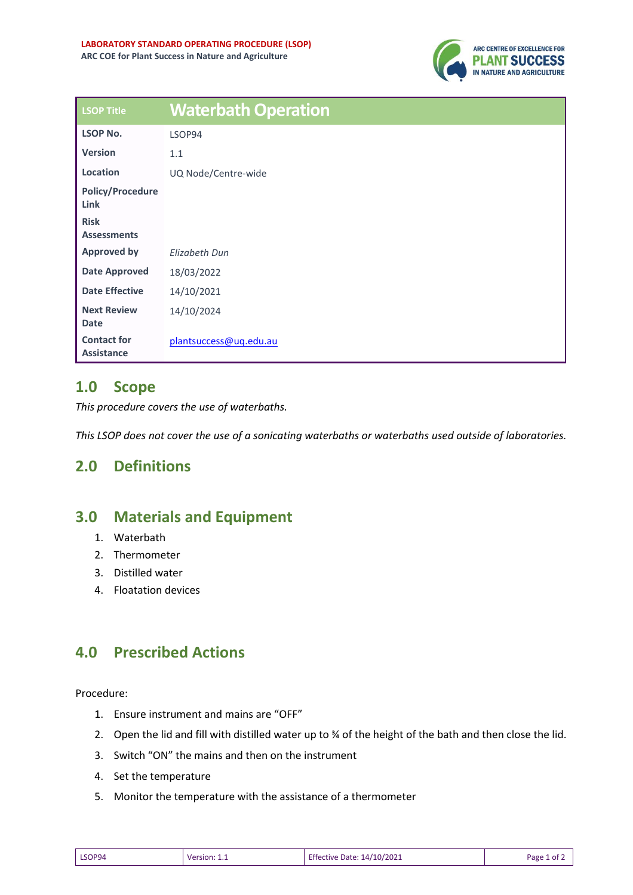

| <b>LSOP Title</b>                       | <b>Waterbath Operation</b> |
|-----------------------------------------|----------------------------|
| <b>LSOP No.</b>                         | LSOP94                     |
| <b>Version</b>                          | 1.1                        |
| Location                                | UQ Node/Centre-wide        |
| <b>Policy/Procedure</b><br>Link         |                            |
| <b>Risk</b><br><b>Assessments</b>       |                            |
| <b>Approved by</b>                      | Elizabeth Dun              |
| <b>Date Approved</b>                    | 18/03/2022                 |
| <b>Date Effective</b>                   | 14/10/2021                 |
| <b>Next Review</b><br><b>Date</b>       | 14/10/2024                 |
| <b>Contact for</b><br><b>Assistance</b> | plantsuccess@uq.edu.au     |

## **1.0 Scope**

*This procedure covers the use of waterbaths.*

*This LSOP does not cover the use of a sonicating waterbaths or waterbaths used outside of laboratories.* 

## **2.0 Definitions**

## **3.0 Materials and Equipment**

- 1. Waterbath
- 2. Thermometer
- 3. Distilled water
- 4. Floatation devices

## **4.0 Prescribed Actions**

Procedure:

- 1. Ensure instrument and mains are "OFF"
- 2. Open the lid and fill with distilled water up to ¾ of the height of the bath and then close the lid.
- 3. Switch "ON" the mains and then on the instrument
- 4. Set the temperature
- 5. Monitor the temperature with the assistance of a thermometer

| LSOP94 | Version: $1 \cdot \mathbf{r}$ | <b>Effective Date: 14/10/2021</b> | Page 1 of 2 |
|--------|-------------------------------|-----------------------------------|-------------|
|--------|-------------------------------|-----------------------------------|-------------|